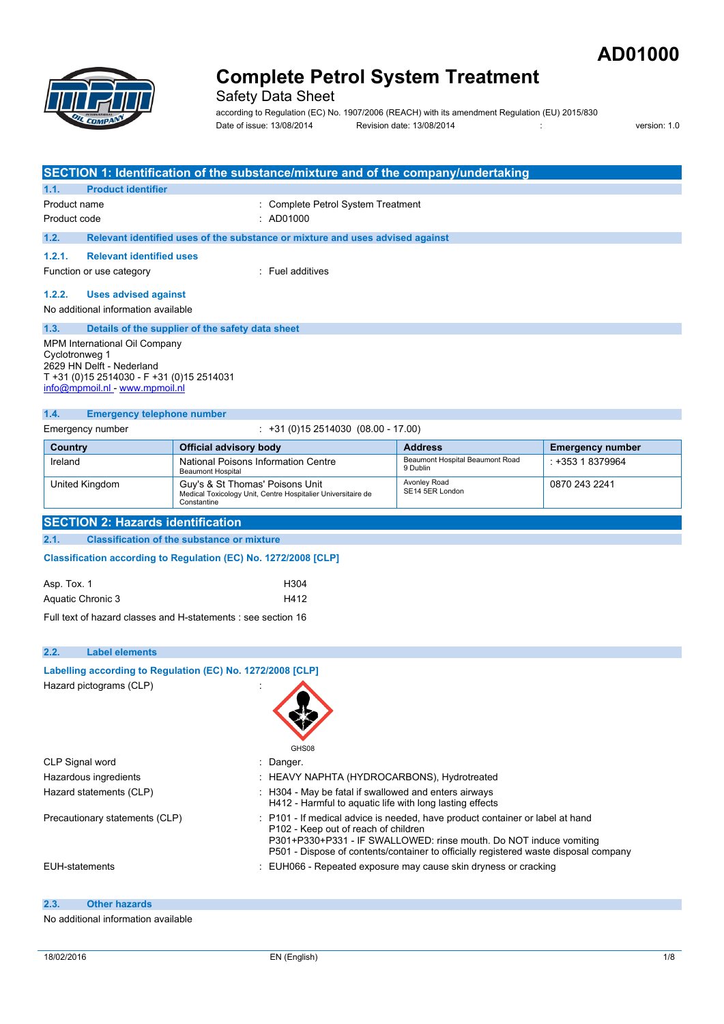



Safety Data Sheet

according to Regulation (EC) No. 1907/2006 (REACH) with its amendment Regulation (EU) 2015/830 Date of issue: 13/08/2014 Revision date: 13/08/2014 : version: 1.0

| SECTION 1: Identification of the substance/mixture and of the company/undertaking                                                                                                                               |                                                                                                                                                                                                                                                                                                                       |                                                                                                                   |                                                                 |                         |
|-----------------------------------------------------------------------------------------------------------------------------------------------------------------------------------------------------------------|-----------------------------------------------------------------------------------------------------------------------------------------------------------------------------------------------------------------------------------------------------------------------------------------------------------------------|-------------------------------------------------------------------------------------------------------------------|-----------------------------------------------------------------|-------------------------|
| <b>Product identifier</b><br>1.1.                                                                                                                                                                               |                                                                                                                                                                                                                                                                                                                       |                                                                                                                   |                                                                 |                         |
| Product name                                                                                                                                                                                                    |                                                                                                                                                                                                                                                                                                                       | : Complete Petrol System Treatment                                                                                |                                                                 |                         |
| Product code                                                                                                                                                                                                    |                                                                                                                                                                                                                                                                                                                       | : AD01000                                                                                                         |                                                                 |                         |
| 1.2.                                                                                                                                                                                                            |                                                                                                                                                                                                                                                                                                                       | Relevant identified uses of the substance or mixture and uses advised against                                     |                                                                 |                         |
| <b>Relevant identified uses</b><br>1.2.1.                                                                                                                                                                       |                                                                                                                                                                                                                                                                                                                       |                                                                                                                   |                                                                 |                         |
| Function or use category                                                                                                                                                                                        |                                                                                                                                                                                                                                                                                                                       | : Fuel additives                                                                                                  |                                                                 |                         |
| 1.2.2.<br><b>Uses advised against</b><br>No additional information available                                                                                                                                    |                                                                                                                                                                                                                                                                                                                       |                                                                                                                   |                                                                 |                         |
| 1.3.                                                                                                                                                                                                            |                                                                                                                                                                                                                                                                                                                       |                                                                                                                   |                                                                 |                         |
| Details of the supplier of the safety data sheet<br>MPM International Oil Company<br>Cyclotronweg 1<br>2629 HN Delft - Nederland<br>T +31 (0)15 2514030 - F +31 (0)15 2514031<br>info@mpmoil.nl - www.mpmoil.nl |                                                                                                                                                                                                                                                                                                                       |                                                                                                                   |                                                                 |                         |
| 1.4.<br><b>Emergency telephone number</b>                                                                                                                                                                       |                                                                                                                                                                                                                                                                                                                       |                                                                                                                   |                                                                 |                         |
| Emergency number                                                                                                                                                                                                |                                                                                                                                                                                                                                                                                                                       | $\div$ +31 (0)15 2514030 (08.00 - 17.00)                                                                          |                                                                 |                         |
| Country                                                                                                                                                                                                         | <b>Official advisory body</b>                                                                                                                                                                                                                                                                                         |                                                                                                                   | <b>Address</b>                                                  | <b>Emergency number</b> |
| Ireland                                                                                                                                                                                                         | National Poisons Information Centre                                                                                                                                                                                                                                                                                   |                                                                                                                   | Beaumont Hospital Beaumont Road<br>9 Dublin                     | : +353 1 8379964        |
| United Kingdom                                                                                                                                                                                                  | <b>Beaumont Hospital</b><br>Guy's & St Thomas' Poisons Unit<br>Constantine                                                                                                                                                                                                                                            | Medical Toxicology Unit, Centre Hospitalier Universitaire de                                                      | Avonley Road<br>SE14 5ER London                                 | 0870 243 2241           |
| <b>SECTION 2: Hazards identification</b>                                                                                                                                                                        |                                                                                                                                                                                                                                                                                                                       |                                                                                                                   |                                                                 |                         |
| 2.1.                                                                                                                                                                                                            | <b>Classification of the substance or mixture</b>                                                                                                                                                                                                                                                                     |                                                                                                                   |                                                                 |                         |
| Classification according to Regulation (EC) No. 1272/2008 [CLP]                                                                                                                                                 |                                                                                                                                                                                                                                                                                                                       |                                                                                                                   |                                                                 |                         |
| Asp. Tox. 1                                                                                                                                                                                                     |                                                                                                                                                                                                                                                                                                                       | H304                                                                                                              |                                                                 |                         |
| Aquatic Chronic 3                                                                                                                                                                                               | H412                                                                                                                                                                                                                                                                                                                  |                                                                                                                   |                                                                 |                         |
| Full text of hazard classes and H-statements : see section 16                                                                                                                                                   |                                                                                                                                                                                                                                                                                                                       |                                                                                                                   |                                                                 |                         |
| 2.2.<br><b>Label elements</b>                                                                                                                                                                                   |                                                                                                                                                                                                                                                                                                                       |                                                                                                                   |                                                                 |                         |
| Labelling according to Regulation (EC) No. 1272/2008 [CLP]                                                                                                                                                      |                                                                                                                                                                                                                                                                                                                       |                                                                                                                   |                                                                 |                         |
| Hazard pictograms (CLP)                                                                                                                                                                                         |                                                                                                                                                                                                                                                                                                                       | GHS08                                                                                                             |                                                                 |                         |
| CLP Signal word                                                                                                                                                                                                 |                                                                                                                                                                                                                                                                                                                       | : Danger.                                                                                                         |                                                                 |                         |
| Hazardous ingredients                                                                                                                                                                                           |                                                                                                                                                                                                                                                                                                                       | : HEAVY NAPHTA (HYDROCARBONS), Hydrotreated                                                                       |                                                                 |                         |
| Hazard statements (CLP)                                                                                                                                                                                         |                                                                                                                                                                                                                                                                                                                       | : H304 - May be fatal if swallowed and enters airways<br>H412 - Harmful to aquatic life with long lasting effects |                                                                 |                         |
|                                                                                                                                                                                                                 | Precautionary statements (CLP)<br>: P101 - If medical advice is needed, have product container or label at hand<br>P102 - Keep out of reach of children<br>P301+P330+P331 - IF SWALLOWED: rinse mouth. Do NOT induce vomiting<br>P501 - Dispose of contents/container to officially registered waste disposal company |                                                                                                                   |                                                                 |                         |
| <b>EUH-statements</b>                                                                                                                                                                                           |                                                                                                                                                                                                                                                                                                                       |                                                                                                                   | : EUH066 - Repeated exposure may cause skin dryness or cracking |                         |

#### **2.3. Other hazards**

### No additional information available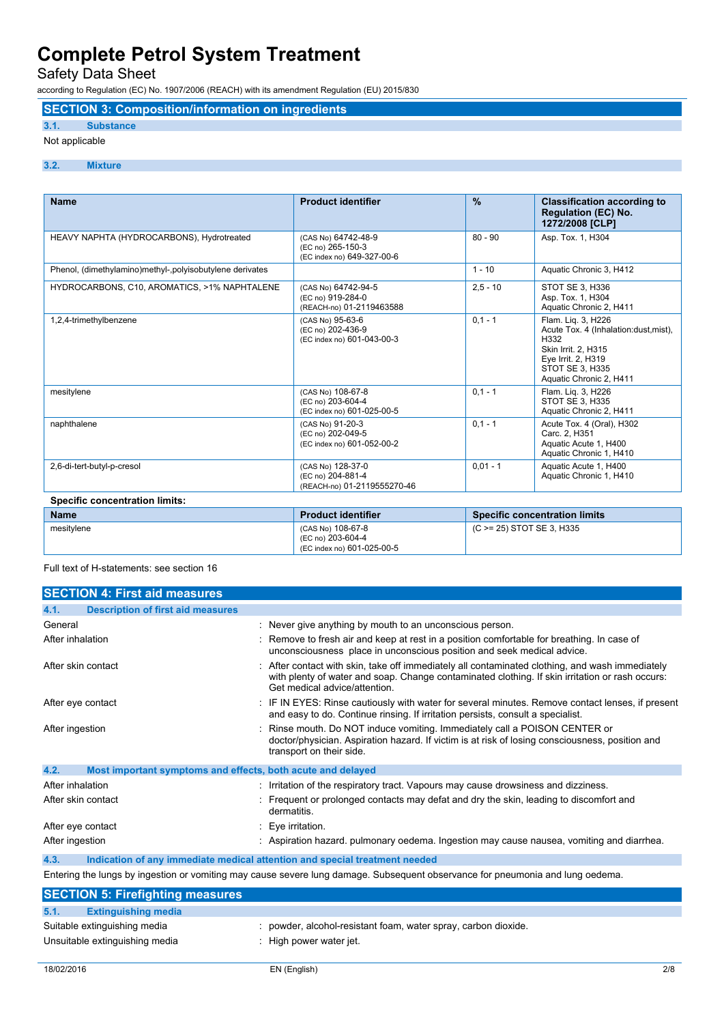Safety Data Sheet

according to Regulation (EC) No. 1907/2006 (REACH) with its amendment Regulation (EU) 2015/830

### **SECTION 3: Composition/information on ingredients**

### **3.1. Substance**

### Not applicable

### **3.2. Mixture**

| <b>Name</b>                                               | <b>Product identifier</b>                                              | $\frac{9}{6}$ | <b>Classification according to</b><br><b>Regulation (EC) No.</b><br>1272/2008 [CLP]                                                                                    |
|-----------------------------------------------------------|------------------------------------------------------------------------|---------------|------------------------------------------------------------------------------------------------------------------------------------------------------------------------|
| HEAVY NAPHTA (HYDROCARBONS), Hydrotreated                 | (CAS No) 64742-48-9<br>(EC no) 265-150-3<br>(EC index no) 649-327-00-6 | $80 - 90$     | Asp. Tox. 1, H304                                                                                                                                                      |
| Phenol, (dimethylamino)methyl-, polyisobutylene derivates |                                                                        | $1 - 10$      | Aquatic Chronic 3, H412                                                                                                                                                |
| HYDROCARBONS, C10, AROMATICS, >1% NAPHTALENE              | (CAS No) 64742-94-5<br>(EC no) 919-284-0<br>(REACH-no) 01-2119463588   | $2.5 - 10$    | STOT SE 3, H336<br>Asp. Tox. 1, H304<br>Aquatic Chronic 2, H411                                                                                                        |
| 1,2,4-trimethylbenzene                                    | (CAS No) 95-63-6<br>(EC no) 202-436-9<br>(EC index no) 601-043-00-3    | $0.1 - 1$     | Flam. Lig. 3, H226<br>Acute Tox. 4 (Inhalation: dust, mist),<br>H332<br>Skin Irrit. 2, H315<br>Eye Irrit. 2, H319<br><b>STOT SE 3. H335</b><br>Aquatic Chronic 2, H411 |
| mesitylene                                                | (CAS No) 108-67-8<br>(EC no) 203-604-4<br>(EC index no) 601-025-00-5   | $0.1 - 1$     | Flam. Lig. 3, H226<br>STOT SE 3. H335<br>Aquatic Chronic 2, H411                                                                                                       |
| naphthalene                                               | (CAS No) 91-20-3<br>(EC no) 202-049-5<br>(EC index no) 601-052-00-2    | $0.1 - 1$     | Acute Tox. 4 (Oral), H302<br>Carc. 2, H351<br>Aquatic Acute 1, H400<br>Aquatic Chronic 1, H410                                                                         |
| 2,6-di-tert-butyl-p-cresol                                | (CAS No) 128-37-0<br>(EC no) 204-881-4<br>(REACH-no) 01-2119555270-46  | $0.01 - 1$    | Aquatic Acute 1, H400<br>Aquatic Chronic 1, H410                                                                                                                       |
| <b>Specific concentration limits:</b>                     |                                                                        |               |                                                                                                                                                                        |

| <b>Name</b> | <b>Product identifier</b>              | <b>Specific concentration limits</b> |
|-------------|----------------------------------------|--------------------------------------|
| mesitvlene  | (CAS No) 108-67-8<br>(EC no) 203-604-4 | $(C \ge 25)$ STOT SE 3, H335         |
|             | (EC index no) 601-025-00-5             |                                      |

Full text of H-statements: see section 16

| <b>SECTION 4: First aid measures</b>                                |                                                                                                                                                                                                                                   |
|---------------------------------------------------------------------|-----------------------------------------------------------------------------------------------------------------------------------------------------------------------------------------------------------------------------------|
| <b>Description of first aid measures</b><br>4.1.                    |                                                                                                                                                                                                                                   |
| General                                                             | : Never give anything by mouth to an unconscious person.                                                                                                                                                                          |
| After inhalation                                                    | Remove to fresh air and keep at rest in a position comfortable for breathing. In case of<br>unconsciousness place in unconscious position and seek medical advice.                                                                |
| After skin contact                                                  | After contact with skin, take off immediately all contaminated clothing, and wash immediately<br>with plenty of water and soap. Change contaminated clothing. If skin irritation or rash occurs:<br>Get medical advice/attention. |
| After eye contact                                                   | : IF IN EYES: Rinse cautiously with water for several minutes. Remove contact lenses, if present<br>and easy to do. Continue rinsing. If irritation persists, consult a specialist.                                               |
| After ingestion                                                     | Rinse mouth. Do NOT induce vomiting. Immediately call a POISON CENTER or<br>doctor/physician. Aspiration hazard. If victim is at risk of losing consciousness, position and<br>transport on their side.                           |
| 4.2.<br>Most important symptoms and effects, both acute and delayed |                                                                                                                                                                                                                                   |
| After inhalation                                                    | Irritation of the respiratory tract. Vapours may cause drowsiness and dizziness.                                                                                                                                                  |
| After skin contact                                                  | Frequent or prolonged contacts may defat and dry the skin, leading to discomfort and<br>dermatitis.                                                                                                                               |
| After eye contact                                                   | Eye irritation.                                                                                                                                                                                                                   |
| After ingestion                                                     | : Aspiration hazard, pulmonary oedema, Ingestion may cause nausea, vomiting and diarrhea.                                                                                                                                         |
| 4.3.                                                                | Indication of any immediate medical attention and special treatment needed                                                                                                                                                        |
|                                                                     | Entering the lungs by ingestion or vomiting may cause severe lung damage. Subsequent observance for pneumonia and lung oedema.                                                                                                    |
| <b>SECTION 5: Firefighting measures</b>                             |                                                                                                                                                                                                                                   |

| 5.1. | <b>Extinguishing media</b>     |                                                                |
|------|--------------------------------|----------------------------------------------------------------|
|      | Suitable extinguishing media   | : powder, alcohol-resistant foam, water spray, carbon dioxide. |
|      | Unsuitable extinguishing media | : High power water jet.                                        |
|      |                                |                                                                |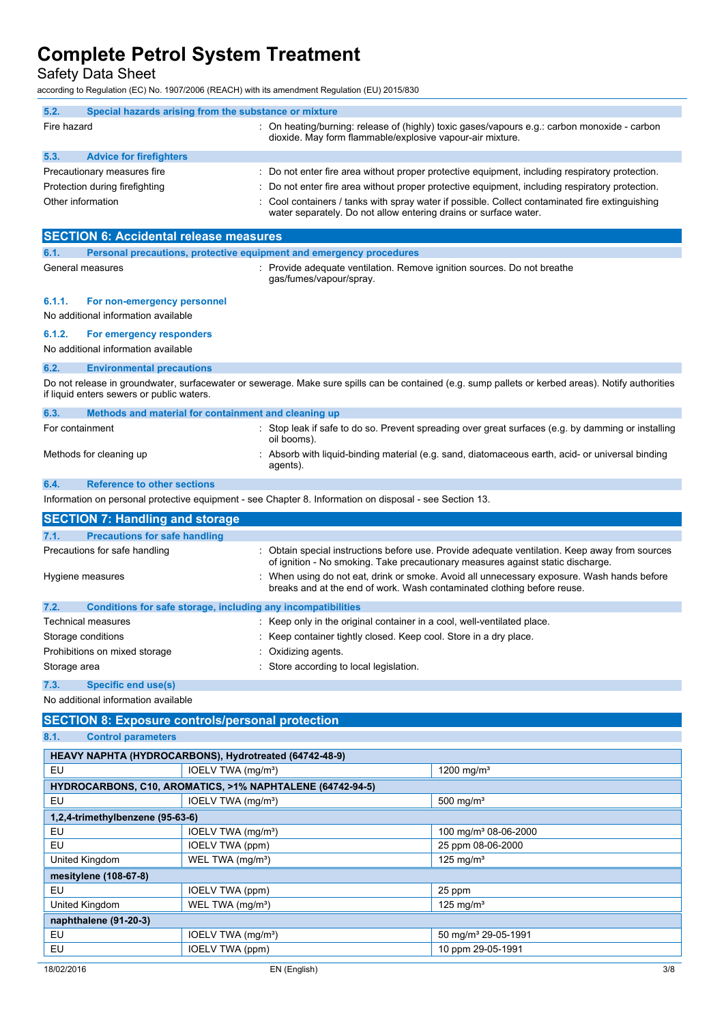Safety Data Sheet

according to Regulation (EC) No. 1907/2006 (REACH) with its amendment Regulation (EU) 2015/830

| 5.2.              | Special hazards arising from the substance or mixture |  |                                                                                                                                                                     |
|-------------------|-------------------------------------------------------|--|---------------------------------------------------------------------------------------------------------------------------------------------------------------------|
| Fire hazard       |                                                       |  | : On heating/burning: release of (highly) toxic gases/vapours e.g.: carbon monoxide - carbon<br>dioxide. May form flammable/explosive vapour-air mixture.           |
| 5.3.              | <b>Advice for firefighters</b>                        |  |                                                                                                                                                                     |
|                   | Precautionary measures fire                           |  | : Do not enter fire area without proper protective equipment, including respiratory protection.                                                                     |
|                   | Protection during firefighting                        |  | : Do not enter fire area without proper protective equipment, including respiratory protection.                                                                     |
| Other information |                                                       |  | : Cool containers / tanks with spray water if possible. Collect contaminated fire extinguishing<br>water separately. Do not allow entering drains or surface water. |

| <b>SECTION 6: Accidental release measures</b>         |                                                                                                         |                                                                                                                                                                                 |  |  |
|-------------------------------------------------------|---------------------------------------------------------------------------------------------------------|---------------------------------------------------------------------------------------------------------------------------------------------------------------------------------|--|--|
| 6.1.                                                  | Personal precautions, protective equipment and emergency procedures                                     |                                                                                                                                                                                 |  |  |
| General measures                                      | gas/fumes/vapour/spray.                                                                                 | : Provide adequate ventilation. Remove ignition sources. Do not breathe                                                                                                         |  |  |
| 6.1.1.<br>For non-emergency personnel                 |                                                                                                         |                                                                                                                                                                                 |  |  |
| No additional information available                   |                                                                                                         |                                                                                                                                                                                 |  |  |
| 6.1.2.<br>For emergency responders                    |                                                                                                         |                                                                                                                                                                                 |  |  |
| No additional information available                   |                                                                                                         |                                                                                                                                                                                 |  |  |
| 6.2.<br><b>Environmental precautions</b>              |                                                                                                         |                                                                                                                                                                                 |  |  |
| if liquid enters sewers or public waters.             |                                                                                                         | Do not release in groundwater, surfacewater or sewerage. Make sure spills can be contained (e.g. sump pallets or kerbed areas). Notify authorities                              |  |  |
| 6.3.                                                  | Methods and material for containment and cleaning up                                                    |                                                                                                                                                                                 |  |  |
| For containment                                       | oil booms).                                                                                             | : Stop leak if safe to do so. Prevent spreading over great surfaces (e.g. by damming or installing                                                                              |  |  |
| Methods for cleaning up                               | agents).                                                                                                | Absorb with liquid-binding material (e.g. sand, diatomaceous earth, acid- or universal binding                                                                                  |  |  |
| <b>Reference to other sections</b><br>6.4.            |                                                                                                         |                                                                                                                                                                                 |  |  |
|                                                       | Information on personal protective equipment - see Chapter 8. Information on disposal - see Section 13. |                                                                                                                                                                                 |  |  |
| <b>SECTION 7: Handling and storage</b>                |                                                                                                         |                                                                                                                                                                                 |  |  |
| 7.1.<br><b>Precautions for safe handling</b>          |                                                                                                         |                                                                                                                                                                                 |  |  |
| Precautions for safe handling                         |                                                                                                         | Obtain special instructions before use. Provide adequate ventilation. Keep away from sources<br>of ignition - No smoking. Take precautionary measures against static discharge. |  |  |
| Hygiene measures                                      |                                                                                                         | When using do not eat, drink or smoke. Avoid all unnecessary exposure. Wash hands before<br>breaks and at the end of work. Wash contaminated clothing before reuse.             |  |  |
| 7.2.                                                  | Conditions for safe storage, including any incompatibilities                                            |                                                                                                                                                                                 |  |  |
| <b>Technical measures</b>                             | : Keep only in the original container in a cool, well-ventilated place.                                 |                                                                                                                                                                                 |  |  |
| Storage conditions                                    | Keep container tightly closed. Keep cool. Store in a dry place.                                         |                                                                                                                                                                                 |  |  |
| Prohibitions on mixed storage                         | Oxidizing agents.                                                                                       |                                                                                                                                                                                 |  |  |
| Store according to local legislation.<br>Storage area |                                                                                                         |                                                                                                                                                                                 |  |  |
| 7.3.<br>Specific end use(s)                           |                                                                                                         |                                                                                                                                                                                 |  |  |
| No additional information available                   |                                                                                                         |                                                                                                                                                                                 |  |  |
|                                                       | <b>SECTION 8: Exposure controls/personal protection</b>                                                 |                                                                                                                                                                                 |  |  |
| 8.1.<br><b>Control parameters</b>                     |                                                                                                         |                                                                                                                                                                                 |  |  |
|                                                       | HEAVY NAPHTA (HYDROCARBONS), Hydrotreated (64742-48-9)                                                  |                                                                                                                                                                                 |  |  |
| EU                                                    | IOELV TWA (mg/m <sup>3</sup> )                                                                          | 1200 mg/m $3$                                                                                                                                                                   |  |  |
|                                                       | HYDROCARBONS, C10, AROMATICS, >1% NAPHTALENE (64742-94-5)                                               |                                                                                                                                                                                 |  |  |
| <b>EU</b>                                             | IOELV TWA (mg/m <sup>3</sup> )                                                                          | 500 mg/ $m3$                                                                                                                                                                    |  |  |
| 1,2,4-trimethylbenzene (95-63-6)                      |                                                                                                         |                                                                                                                                                                                 |  |  |
| EU                                                    | IOELV TWA (mg/m <sup>3</sup> )                                                                          | 100 mg/m <sup>3</sup> 08-06-2000                                                                                                                                                |  |  |
| EU                                                    | <b>IOELV TWA (ppm)</b>                                                                                  | 25 ppm 08-06-2000                                                                                                                                                               |  |  |
| United Kingdom                                        | WEL TWA (mg/m <sup>3</sup> )                                                                            | 125 mg/ $m3$                                                                                                                                                                    |  |  |
| mesitylene (108-67-8)                                 |                                                                                                         |                                                                                                                                                                                 |  |  |
| EU                                                    | <b>IOELV TWA (ppm)</b>                                                                                  | 25 ppm                                                                                                                                                                          |  |  |
| United Kingdom                                        | WEL TWA (mg/m <sup>3</sup> )                                                                            | 125 mg/ $m3$                                                                                                                                                                    |  |  |
| naphthalene (91-20-3)                                 |                                                                                                         |                                                                                                                                                                                 |  |  |
| EU                                                    | IOELV TWA (mg/m <sup>3</sup> )                                                                          | 50 mg/m <sup>3</sup> 29-05-1991                                                                                                                                                 |  |  |
| EU                                                    | IOELV TWA (ppm)                                                                                         | 10 ppm 29-05-1991                                                                                                                                                               |  |  |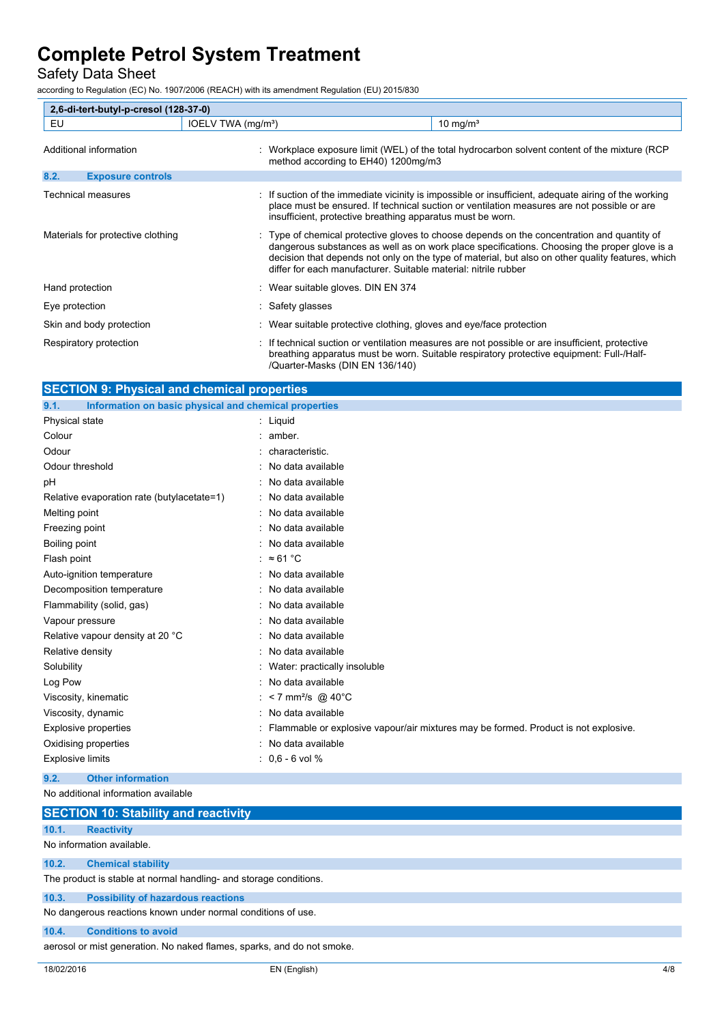### Safety Data Sheet

according to Regulation (EC) No. 1907/2006 (REACH) with its amendment Regulation (EU) 2015/830

| 2,6-di-tert-butyl-p-cresol (128-37-0) |                                  |                                                                                                                                                                                                                                                                                                                                                                     |  |  |
|---------------------------------------|----------------------------------|---------------------------------------------------------------------------------------------------------------------------------------------------------------------------------------------------------------------------------------------------------------------------------------------------------------------------------------------------------------------|--|--|
| EU                                    | IOELV TWA (mg/m <sup>3</sup> )   | $10 \text{ mg/m}^3$                                                                                                                                                                                                                                                                                                                                                 |  |  |
| Additional information                |                                  | : Workplace exposure limit (WEL) of the total hydrocarbon solvent content of the mixture (RCP<br>method according to EH40) 1200mg/m3                                                                                                                                                                                                                                |  |  |
| 8.2.<br><b>Exposure controls</b>      |                                  |                                                                                                                                                                                                                                                                                                                                                                     |  |  |
| Technical measures                    |                                  | : If suction of the immediate vicinity is impossible or insufficient, adequate airing of the working<br>place must be ensured. If technical suction or ventilation measures are not possible or are<br>insufficient, protective breathing apparatus must be worn.                                                                                                   |  |  |
| Materials for protective clothing     |                                  | : Type of chemical protective gloves to choose depends on the concentration and quantity of<br>dangerous substances as well as on work place specifications. Choosing the proper glove is a<br>decision that depends not only on the type of material, but also on other quality features, which<br>differ for each manufacturer. Suitable material: nitrile rubber |  |  |
| Hand protection                       | Wear suitable gloves. DIN EN 374 |                                                                                                                                                                                                                                                                                                                                                                     |  |  |
| Eye protection                        | : Safety glasses                 |                                                                                                                                                                                                                                                                                                                                                                     |  |  |
| Skin and body protection              |                                  | Wear suitable protective clothing, gloves and eye/face protection                                                                                                                                                                                                                                                                                                   |  |  |
| Respiratory protection                | /Quarter-Masks (DIN EN 136/140)  | If technical suction or ventilation measures are not possible or are insufficient, protective<br>breathing apparatus must be worn. Suitable respiratory protective equipment: Full-/Half-                                                                                                                                                                           |  |  |

| <b>SECTION 9: Physical and chemical properties</b>            |                                                                                     |
|---------------------------------------------------------------|-------------------------------------------------------------------------------------|
| 9.1.<br>Information on basic physical and chemical properties |                                                                                     |
| Physical state                                                | : Liquid                                                                            |
| Colour                                                        | amber.                                                                              |
| Odour                                                         | characteristic.                                                                     |
| Odour threshold                                               | No data available                                                                   |
| pH                                                            | No data available                                                                   |
| Relative evaporation rate (butylacetate=1)                    | No data available                                                                   |
| Melting point                                                 | No data available                                                                   |
| Freezing point                                                | No data available                                                                   |
| Boiling point                                                 | No data available                                                                   |
| Flash point                                                   | : $\approx 61^{\circ}$ C                                                            |
| Auto-ignition temperature                                     | No data available                                                                   |
| Decomposition temperature                                     | No data available                                                                   |
| Flammability (solid, gas)                                     | No data available                                                                   |
| Vapour pressure                                               | No data available                                                                   |
| Relative vapour density at 20 °C                              | No data available                                                                   |
| Relative density                                              | No data available                                                                   |
| Solubility                                                    | Water: practically insoluble                                                        |
| Log Pow                                                       | No data available                                                                   |
| Viscosity, kinematic                                          | <7 mm <sup>2</sup> /s @ 40°C                                                        |
| Viscosity, dynamic                                            | No data available                                                                   |
| <b>Explosive properties</b>                                   | Flammable or explosive vapour/air mixtures may be formed. Product is not explosive. |
| Oxidising properties                                          | No data available                                                                   |
| <b>Explosive limits</b>                                       | $: 0,6 - 6$ vol %                                                                   |
| <b>Other information</b><br>9.2.                              |                                                                                     |
| No additional information available                           |                                                                                     |

|       | <b>SECTION 10: Stability and reactivity</b>                            |
|-------|------------------------------------------------------------------------|
| 10.1. | <b>Reactivity</b>                                                      |
|       | No information available.                                              |
| 10.2. | <b>Chemical stability</b>                                              |
|       | The product is stable at normal handling- and storage conditions.      |
| 10.3. | <b>Possibility of hazardous reactions</b>                              |
|       | No dangerous reactions known under normal conditions of use.           |
| 10.4. | <b>Conditions to avoid</b>                                             |
|       | aerosol or mist generation. No naked flames, sparks, and do not smoke. |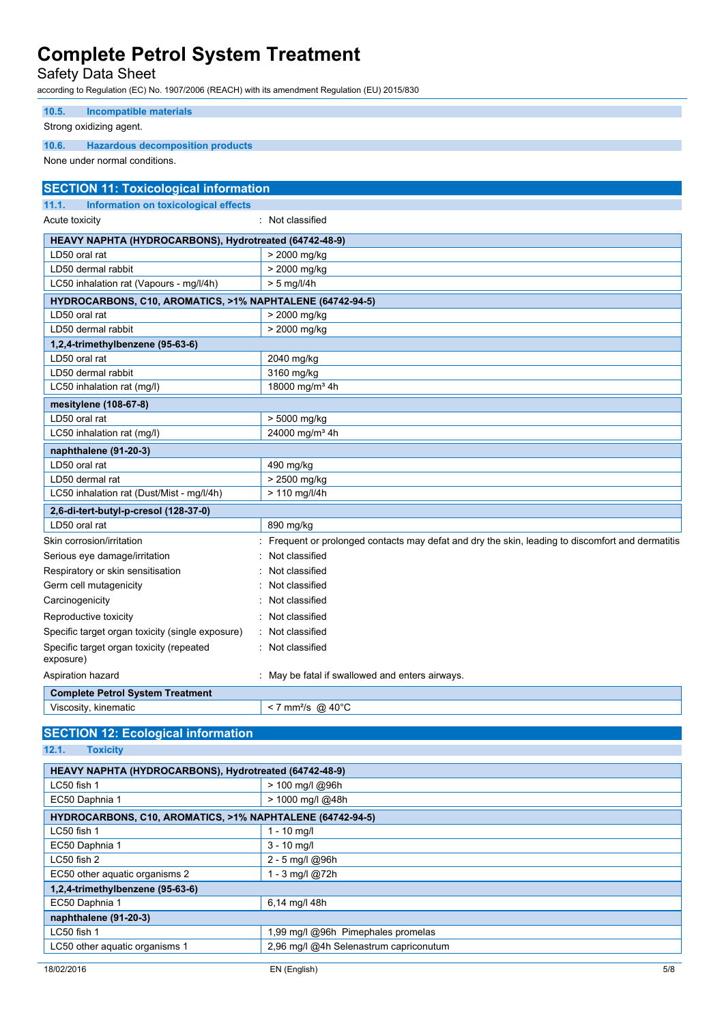Safety Data Sheet

according to Regulation (EC) No. 1907/2006 (REACH) with its amendment Regulation (EU) 2015/830

| <b>Incompatible materials</b><br>10.5.                    |                                                                                                 |
|-----------------------------------------------------------|-------------------------------------------------------------------------------------------------|
| Strong oxidizing agent.                                   |                                                                                                 |
| 10.6.<br><b>Hazardous decomposition products</b>          |                                                                                                 |
| None under normal conditions.                             |                                                                                                 |
| <b>SECTION 11: Toxicological information</b>              |                                                                                                 |
| 11.1.<br>Information on toxicological effects             |                                                                                                 |
| Acute toxicity                                            | : Not classified                                                                                |
| HEAVY NAPHTA (HYDROCARBONS), Hydrotreated (64742-48-9)    |                                                                                                 |
| LD50 oral rat                                             | > 2000 mg/kg                                                                                    |
| LD50 dermal rabbit                                        | > 2000 mg/kg                                                                                    |
| LC50 inhalation rat (Vapours - mg/l/4h)                   | $> 5$ mg/l/4h                                                                                   |
| HYDROCARBONS, C10, AROMATICS, >1% NAPHTALENE (64742-94-5) |                                                                                                 |
| LD50 oral rat                                             | > 2000 mg/kg                                                                                    |
| LD50 dermal rabbit                                        | > 2000 mg/kg                                                                                    |
| 1,2,4-trimethylbenzene (95-63-6)                          |                                                                                                 |
| LD50 oral rat                                             | 2040 mg/kg                                                                                      |
| LD50 dermal rabbit                                        | 3160 mg/kg                                                                                      |
| LC50 inhalation rat (mg/l)                                | 18000 mg/m <sup>3</sup> 4h                                                                      |
| mesitylene (108-67-8)                                     |                                                                                                 |
| LD50 oral rat                                             | > 5000 mg/kg                                                                                    |
| LC50 inhalation rat (mg/l)                                | 24000 mg/m <sup>3</sup> 4h                                                                      |
| naphthalene (91-20-3)                                     |                                                                                                 |
| LD50 oral rat                                             | 490 mg/kg                                                                                       |
| LD50 dermal rat                                           | > 2500 mg/kg                                                                                    |
| LC50 inhalation rat (Dust/Mist - mg/l/4h)                 | > 110 mg/l/4h                                                                                   |
| 2,6-di-tert-butyl-p-cresol (128-37-0)                     |                                                                                                 |
| LD50 oral rat                                             | 890 mg/kg                                                                                       |
| Skin corrosion/irritation                                 | Frequent or prolonged contacts may defat and dry the skin, leading to discomfort and dermatitis |
| Serious eye damage/irritation                             | Not classified                                                                                  |
| Respiratory or skin sensitisation                         | Not classified                                                                                  |
| Germ cell mutagenicity                                    | Not classified                                                                                  |
| Carcinogenicity                                           | Not classified                                                                                  |
| Reproductive toxicity                                     | Not classified                                                                                  |
| Specific target organ toxicity (single exposure)          | Not classified                                                                                  |
| Specific target organ toxicity (repeated<br>exposure)     | Not classified                                                                                  |
| Aspiration hazard                                         | : May be fatal if swallowed and enters airways.                                                 |
| <b>Complete Petrol System Treatment</b>                   |                                                                                                 |
| Viscosity, kinematic                                      | < 7 mm <sup>2</sup> /s @ 40°C                                                                   |
| <b>SECTION 12: Ecological information</b>                 |                                                                                                 |

**12.1. Toxicity**

| HEAVY NAPHTA (HYDROCARBONS), Hydrotreated (64742-48-9)    |                                        |  |
|-----------------------------------------------------------|----------------------------------------|--|
| $LC50$ fish 1                                             | > 100 mg/l @96h                        |  |
| EC50 Daphnia 1                                            | > 1000 mg/l @48h                       |  |
| HYDROCARBONS, C10, AROMATICS, >1% NAPHTALENE (64742-94-5) |                                        |  |
| LC50 fish 1                                               | $1 - 10$ mg/l                          |  |
| EC50 Daphnia 1                                            | $3 - 10$ mg/l                          |  |
| LC50 fish 2                                               | 2 - 5 mg/l @96h                        |  |
| EC50 other aquatic organisms 2                            | 1 - 3 mg/l @72h                        |  |
| 1,2,4-trimethylbenzene (95-63-6)                          |                                        |  |
| EC50 Daphnia 1                                            | 6,14 mg/l 48h                          |  |
| naphthalene (91-20-3)                                     |                                        |  |
| $LC50$ fish 1                                             | 1,99 mg/l @96h Pimephales promelas     |  |
| LC50 other aquatic organisms 1                            | 2,96 mg/l @4h Selenastrum capriconutum |  |
|                                                           |                                        |  |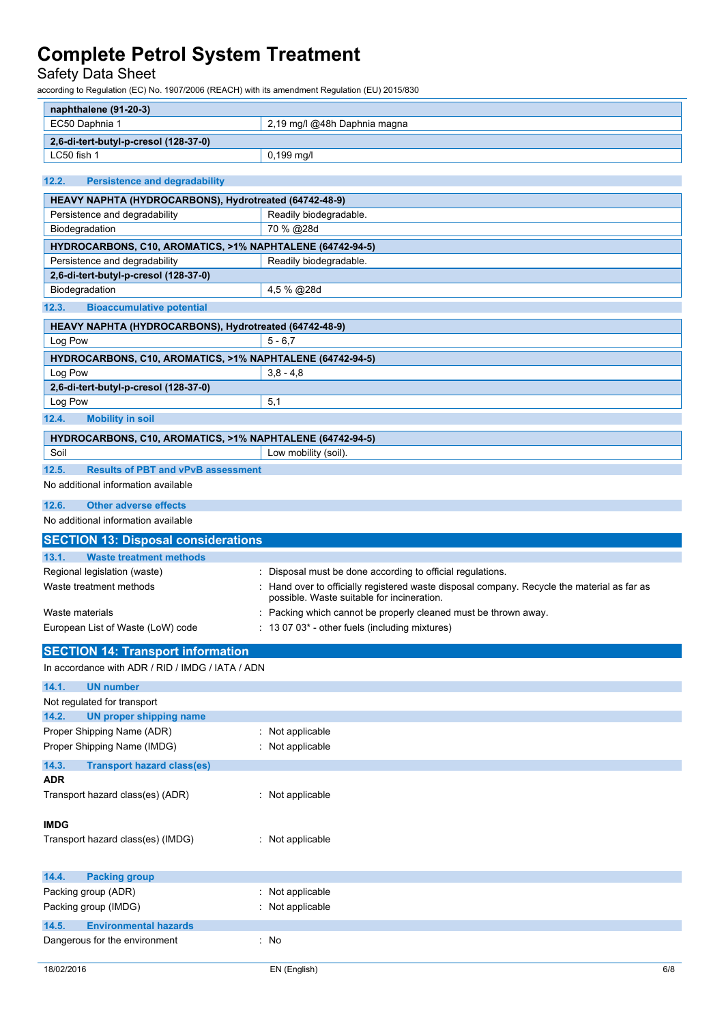### Safety Data Sheet

according to Regulation (EC) No. 1907/2006 (REACH) with its amendment Regulation (EU) 2015/830

| naphthalene (91-20-3)                                     |                                                                                           |  |
|-----------------------------------------------------------|-------------------------------------------------------------------------------------------|--|
| EC50 Daphnia 1                                            | 2,19 mg/l @48h Daphnia magna                                                              |  |
| 2,6-di-tert-butyl-p-cresol (128-37-0)                     |                                                                                           |  |
| LC50 fish 1                                               | 0,199 mg/l                                                                                |  |
|                                                           |                                                                                           |  |
| 12.2.<br><b>Persistence and degradability</b>             |                                                                                           |  |
| HEAVY NAPHTA (HYDROCARBONS), Hydrotreated (64742-48-9)    |                                                                                           |  |
| Persistence and degradability                             | Readily biodegradable.                                                                    |  |
| Biodegradation                                            | 70 % @28d                                                                                 |  |
| HYDROCARBONS, C10, AROMATICS, >1% NAPHTALENE (64742-94-5) |                                                                                           |  |
| Persistence and degradability                             | Readily biodegradable.                                                                    |  |
| 2,6-di-tert-butyl-p-cresol (128-37-0)                     |                                                                                           |  |
| Biodegradation                                            | 4,5 % @28d                                                                                |  |
| 12.3.<br><b>Bioaccumulative potential</b>                 |                                                                                           |  |
| HEAVY NAPHTA (HYDROCARBONS), Hydrotreated (64742-48-9)    |                                                                                           |  |
| Log Pow                                                   | $5 - 6,7$                                                                                 |  |
| HYDROCARBONS, C10, AROMATICS, >1% NAPHTALENE (64742-94-5) |                                                                                           |  |
| Log Pow                                                   | $3,8 - 4,8$                                                                               |  |
| 2,6-di-tert-butyl-p-cresol (128-37-0)                     |                                                                                           |  |
| Log Pow                                                   | 5,1                                                                                       |  |
|                                                           |                                                                                           |  |
| 12.4.<br><b>Mobility in soil</b>                          |                                                                                           |  |
| HYDROCARBONS, C10, AROMATICS, >1% NAPHTALENE (64742-94-5) |                                                                                           |  |
| Soil                                                      | Low mobility (soil).                                                                      |  |
| 12.5.<br><b>Results of PBT and vPvB assessment</b>        |                                                                                           |  |
| No additional information available                       |                                                                                           |  |
| 12.6.<br><b>Other adverse effects</b>                     |                                                                                           |  |
| No additional information available                       |                                                                                           |  |
|                                                           |                                                                                           |  |
|                                                           |                                                                                           |  |
| <b>SECTION 13: Disposal considerations</b>                |                                                                                           |  |
| 13.1.<br><b>Waste treatment methods</b>                   |                                                                                           |  |
| Regional legislation (waste)                              | : Disposal must be done according to official regulations.                                |  |
| Waste treatment methods                                   | Hand over to officially registered waste disposal company. Recycle the material as far as |  |
|                                                           | possible. Waste suitable for incineration.                                                |  |
| Waste materials                                           | Packing which cannot be properly cleaned must be thrown away.                             |  |
| European List of Waste (LoW) code                         | : 13 07 03* - other fuels (including mixtures)                                            |  |
|                                                           |                                                                                           |  |
| <b>SECTION 14: Transport information</b>                  |                                                                                           |  |
| In accordance with ADR / RID / IMDG / IATA / ADN          |                                                                                           |  |
| 14.1.<br><b>UN number</b>                                 |                                                                                           |  |
| Not regulated for transport                               |                                                                                           |  |
| 14.2.<br><b>UN proper shipping name</b>                   |                                                                                           |  |
| Proper Shipping Name (ADR)                                | : Not applicable                                                                          |  |
| Proper Shipping Name (IMDG)                               | : Not applicable                                                                          |  |
| 14.3.<br><b>Transport hazard class(es)</b>                |                                                                                           |  |
| ADR                                                       |                                                                                           |  |
| Transport hazard class(es) (ADR)                          | : Not applicable                                                                          |  |
|                                                           |                                                                                           |  |
| <b>IMDG</b>                                               |                                                                                           |  |
| Transport hazard class(es) (IMDG)                         | : Not applicable                                                                          |  |
|                                                           |                                                                                           |  |
|                                                           |                                                                                           |  |
| 14.4.<br><b>Packing group</b>                             |                                                                                           |  |
| Packing group (ADR)                                       | : Not applicable                                                                          |  |
| Packing group (IMDG)                                      | : Not applicable                                                                          |  |
| 14.5.<br><b>Environmental hazards</b>                     |                                                                                           |  |
| Dangerous for the environment                             | : No                                                                                      |  |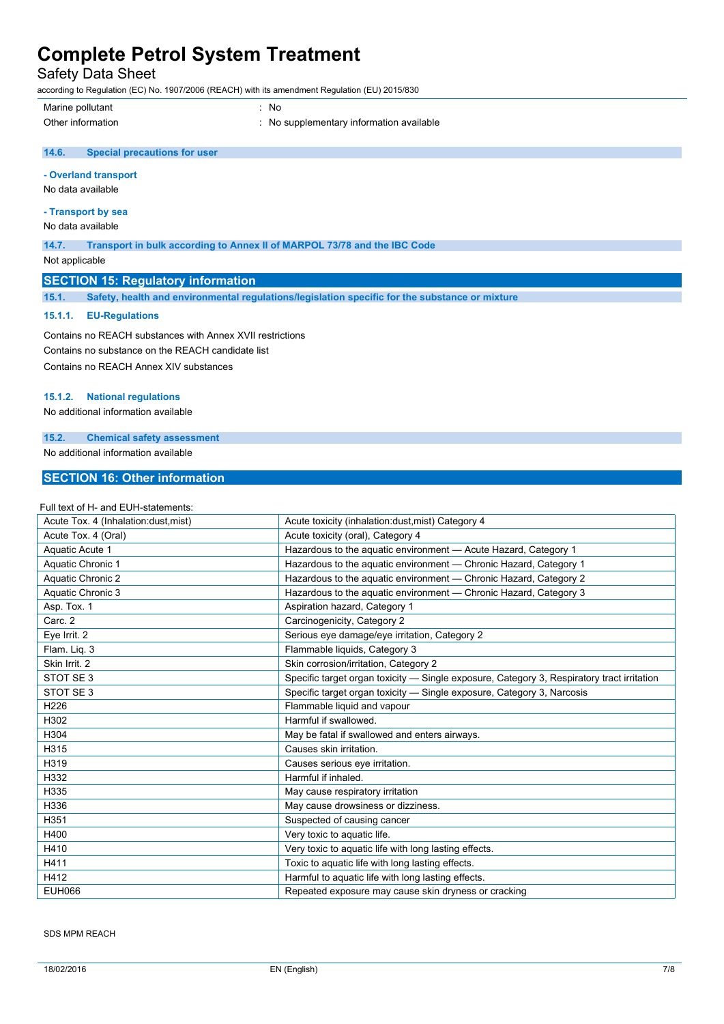Safety Data Sheet

according to Regulation (EC) No. 1907/2006 (REACH) with its amendment Regulation (EU) 2015/830

Marine pollutant : No

Other information **intervalled** in the supplementary information available

#### $14.6.$ **14.6. Special precautions for user**

### **- Overland transport**

No data available

### **- Transport by sea**

No data available

**14.7. Transport in bulk according to Annex II of MARPOL 73/78 and the IBC Code**

Not applicable

### **SECTION 15: Regulatory information**

**15.1. Safety, health and environmental regulations/legislation specific for the substance or mixture**

#### **15.1.1. EU-Regulations**

Contains no REACH substances with Annex XVII restrictions Contains no substance on the REACH candidate list Contains no REACH Annex XIV substances

#### **15.1.2. National regulations**

No additional information available

### **15.2. Chemical safety assessment**

No additional information available

### **SECTION 16: Other information**

#### Full text of H- and EUH-statements:

| Acute Tox. 4 (Inhalation:dust, mist) | Acute toxicity (inhalation:dust, mist) Category 4                                          |
|--------------------------------------|--------------------------------------------------------------------------------------------|
| Acute Tox. 4 (Oral)                  | Acute toxicity (oral), Category 4                                                          |
| Aquatic Acute 1                      | Hazardous to the aquatic environment - Acute Hazard, Category 1                            |
| Aquatic Chronic 1                    | Hazardous to the aguatic environment - Chronic Hazard, Category 1                          |
| Aquatic Chronic 2                    | Hazardous to the aquatic environment - Chronic Hazard, Category 2                          |
| Aquatic Chronic 3                    | Hazardous to the aquatic environment - Chronic Hazard, Category 3                          |
| Asp. Tox. 1                          | Aspiration hazard, Category 1                                                              |
| Carc. 2                              | Carcinogenicity, Category 2                                                                |
| Eye Irrit. 2                         | Serious eye damage/eye irritation, Category 2                                              |
| Flam. Liq. 3                         | Flammable liquids, Category 3                                                              |
| Skin Irrit. 2                        | Skin corrosion/irritation, Category 2                                                      |
| STOT SE 3                            | Specific target organ toxicity — Single exposure, Category 3, Respiratory tract irritation |
| STOT SE <sub>3</sub>                 | Specific target organ toxicity - Single exposure, Category 3, Narcosis                     |
| H <sub>226</sub>                     | Flammable liquid and vapour                                                                |
| H302                                 | Harmful if swallowed.                                                                      |
| H304                                 | May be fatal if swallowed and enters airways.                                              |
| H315                                 | Causes skin irritation.                                                                    |
| H319                                 | Causes serious eye irritation.                                                             |
| H332                                 | Harmful if inhaled.                                                                        |
| H335                                 | May cause respiratory irritation                                                           |
| H336                                 | May cause drowsiness or dizziness.                                                         |
| H351                                 | Suspected of causing cancer                                                                |
| H400                                 | Very toxic to aquatic life.                                                                |
| H410                                 | Very toxic to aquatic life with long lasting effects.                                      |
| H411                                 | Toxic to aquatic life with long lasting effects.                                           |
| H412                                 | Harmful to aquatic life with long lasting effects.                                         |
| <b>EUH066</b>                        | Repeated exposure may cause skin dryness or cracking                                       |

SDS MPM REACH